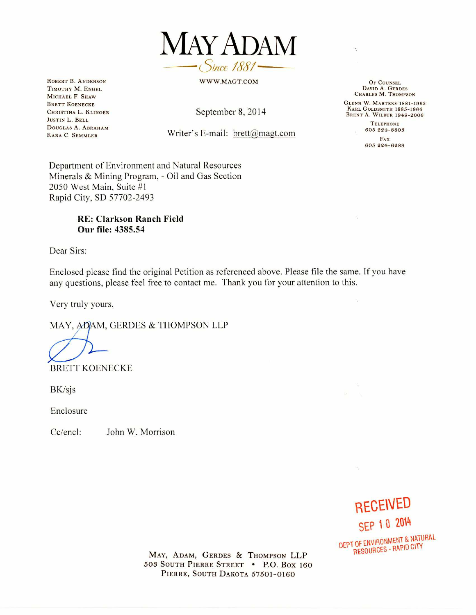

WWW.MAGT.COM

**ROBERT B. ANDERSON TIMOTHY M. ENGEL MICHAEL F. SHAW BRETT KOENECKE CHRISTINA L. KLINGER JUSTIN L. BELL DOUGLAS A. ABRAHAM KARA C. SEMMLER** 

September 8, 2014

## Writer's E-mail: brett@magt.com

**OF COUNSEL DAVID A. GERDES CHARLES M. THOMPSON** 

**GLENN W. MARTENS 1881-1963 KARL GOLDSMITH 1885-1966 BRENT A. WILBUR 1949-2006** 

> **TELEPHONE 605 224-8803**

**FAX 605 424-6289** 

 $\hat{\mathcal{X}}$ 

Department of Environment and Natural Resources Minerals & Mining Program, - Oil and Gas Section 2050 West Main, Suite #1 Rapid City, SD 57702-2493

## **RE: Clarkson Ranch Field Our file: 4385.54**

Dear Sirs:

Enclosed please find the original Petition as referenced above. Please file the same. If you have any questions, please feel free to contact me. Thank you for your attention to this.

Very truly yours,

MAY, ADAM, GERDES & THOMPSON LLP

BRETT KOENECKE

BK/sjs

Enclosure

Cc/encl: John W. Morrison

**RECEIVED SEP 10 2014 DEPT OF ENVIRONMENT & NATURAL RESOURCES - RAPID CITY** 

 $\tau_{\rm cr}$ 

**MAY, ADAM, GERDES & THOMPSON LLP 503 SOUTH PIERRE STREET • P.O. Box 160 PIERRE, SOUTH DAKOTA 57501-0160**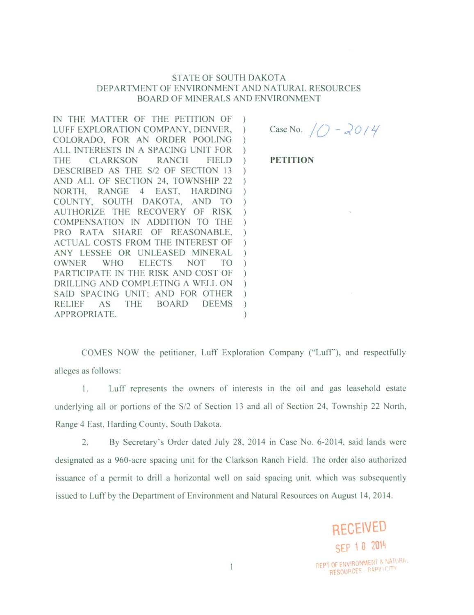## **STATE OF SOUTH DAKOTA** DEPARTMENT OF ENVIRONMENT AND NATURAL RESOURCES **BOARD OF MINERALS AND ENVIRONMENT**

IN THE MATTER OF THE PETITION OF LUFF EXPLORATION COMPANY, DENVER,  $\mathcal{L}$ COLORADO, FOR AN ORDER POOLING ALL INTERESTS IN A SPACING UNIT FOR **THE** CLARKSON **RANCH FIELD**  $\mathcal{L}$ DESCRIBED AS THE S/2 OF SECTION 13  $\lambda$ AND ALL OF SECTION 24, TOWNSHIP 22 NORTH, RANGE 4 EAST, HARDING COUNTY, SOUTH DAKOTA, AND TO AUTHORIZE THE RECOVERY OF RISK COMPENSATION IN ADDITION TO THE PRO RATA SHARE OF REASONABLE, ACTUAL COSTS FROM THE INTEREST OF ANY LESSEE OR UNLEASED MINERAL **OWNER** WHO **ELECTS NOT TO** PARTICIPATE IN THE RISK AND COST OF DRILLING AND COMPLETING A WELL ON SAID SPACING UNIT: AND FOR OTHER  $\lambda$ **BOARD RELIEF** AS **THE DEEMS**  $\mathcal{L}$ APPROPRIATE.  $\lambda$ 

Case No.  $/0 - 2014$ 

**PETITION** 

COMES NOW the petitioner, Luff Exploration Company ("Luff"), and respectfully alleges as follows:

Luff represents the owners of interests in the oil and gas leasehold estate  $\mathbf{1}$ . underlying all or portions of the S/2 of Section 13 and all of Section 24, Township 22 North, Range 4 East, Harding County, South Dakota.

2. By Secretary's Order dated July 28, 2014 in Case No. 6-2014, said lands were designated as a 960-acre spacing unit for the Clarkson Ranch Field. The order also authorized issuance of a permit to drill a horizontal well on said spacing unit, which was subsequently issued to Luff by the Department of Environment and Natural Resources on August 14, 2014.

> SEP 10 2014 DEPT OF ENVIRONMENT & NATURAL RESOURCES - RAPID CITY

**RECEIVED**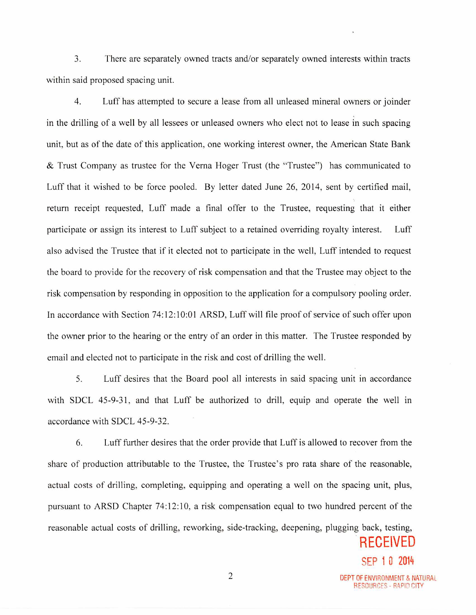3. There are separately owned tracts and/or separately owned interests within tracts within said proposed spacing unit.

4. Luff has attempted to secure a lease from all unleased mineral owners or joinder in the drilling of a well by all lessees or unleased owners who elect not to lease in such spacing unit, but as of the date of this application, one working interest owner, the American State Bank & Trust Company as trustee for the Verna Hoger Trust (the "Trustee") has communicated to Luff that it wished to be force pooled. By letter dated June 26, 2014, sent by certified mail, return receipt requested, Luff made a final offer to the Trustee, requesting that it either participate or assign its interest to Luff subject to a retained overriding royalty interest. Luff also advised the Trustee that if it elected not to participate in the well, Luff intended to request the board to provide for the recovery of risk compensation and that the Trustee may object to the risk compensation by responding in opposition to the application for a compulsory pooling order. In accordance with Section 74:12:10:01 ARSD, Luff will file proof of service of such offer upon the owner prior to the hearing or the entry of an order in this matter. The Trustee responded by email and elected not to participate in the risk and cost of drilling the well.

5. Luff desires that the Board pool all interests in said spacing unit in accordance with SDCL 45-9-31, and that Luff be authorized to drill, equip and operate the well in accordance with SDCL 45-9-32.

6. Luff further desires that the order provide that Luff is allowed to recover from the share of production attributable to the Trustee, the Trustee's pro rata share of the reasonable, actual costs of drilling, completing, equipping and operating a well on the spacing unit, plus, pursuant to ARSD Chapter 74:12:10, a risk compensation equal to two hundred percent of the reasonable actual costs of drilling, reworking, side-tracking, deepening, plugging back, testing,

RECEIVED

SEP 1 0 2014